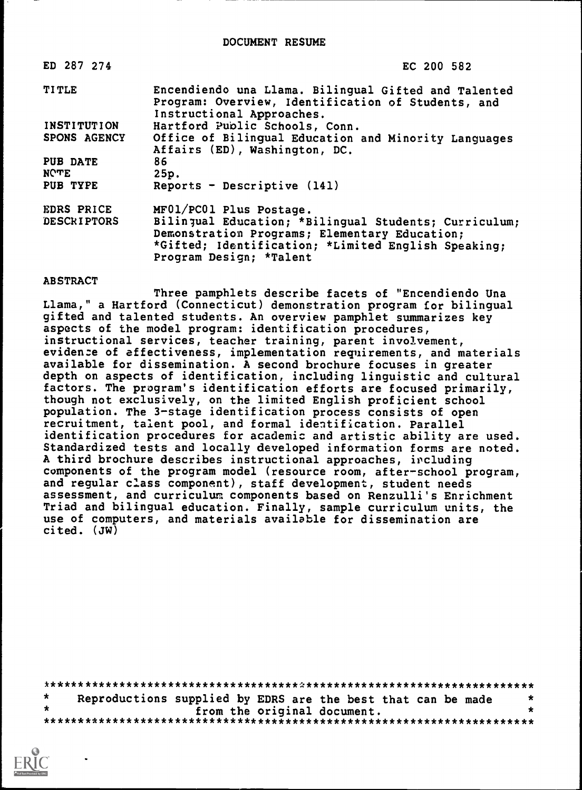| ED 287 274         | EC 200 582                                                                                                                              |
|--------------------|-----------------------------------------------------------------------------------------------------------------------------------------|
| <b>TITLE</b>       | Encendiendo una Llama. Bilingual Gifted and Talented<br>Program: Overview, Identification of Students, and<br>Instructional Approaches. |
| INSTITUTION        | Hartford Public Schools, Conn.                                                                                                          |
| SPONS AGENCY       | Office of Bilingual Education and Minority Languages<br>Affairs (ED), Washington, DC.                                                   |
| PUB DATE           | 86                                                                                                                                      |
| <b>NOTE</b>        | 25p.                                                                                                                                    |
| PUB TYPE           | Reports - Descriptive $(141)$                                                                                                           |
| EDRS PRICE         | MF01/PC01 Plus Postage.                                                                                                                 |
| <b>DESCRIPTORS</b> | Bilingual Education; *Bilingual Students; Curriculum;                                                                                   |
|                    | Demonstration Programs; Elementary Education;                                                                                           |
|                    | *Gifted; Identification; *Limited English Speaking;                                                                                     |
|                    | Program Design; *Talent                                                                                                                 |

#### **ABSTRACT**

Three pamphlets describe facets of "Encendiendo Una Llama," a Hartford (Connecticut) demonstration program for bilingual gifted and talented students. An overview pamphlet summarizes key aspects of the model program: identification procedures, instructional services, teacher training, parent involvement, evidence of effectiveness, implementation requirements, and materials available for dissemination. A second brochure focuses in greater depth on aspects of identification, including linguistic and cultural factors. The program's identification efforts are focused primarily, though not exclusively, on the limited English proficient school population. The 3-stage identification process consists of open recruitment, talent pool, and formal identification. Parallel identification procedures for academic and artistic ability are used. Standardized tests and locally developed information forms are noted. A third brochure describes instructional approaches, including components of the program model (resource room, after-school program, and regular class component), staff development, student needs assessment, and curriculum components based on Renzulli's Enrichment Triad and bilingual education. Finally, sample curriculum units, the use of computers, and materials available for dissemination are cited. (JW)

| Reproductions supplied by EDRS are the best that can be made |                             |  |  |  |
|--------------------------------------------------------------|-----------------------------|--|--|--|
|                                                              | from the original document. |  |  |  |
|                                                              |                             |  |  |  |

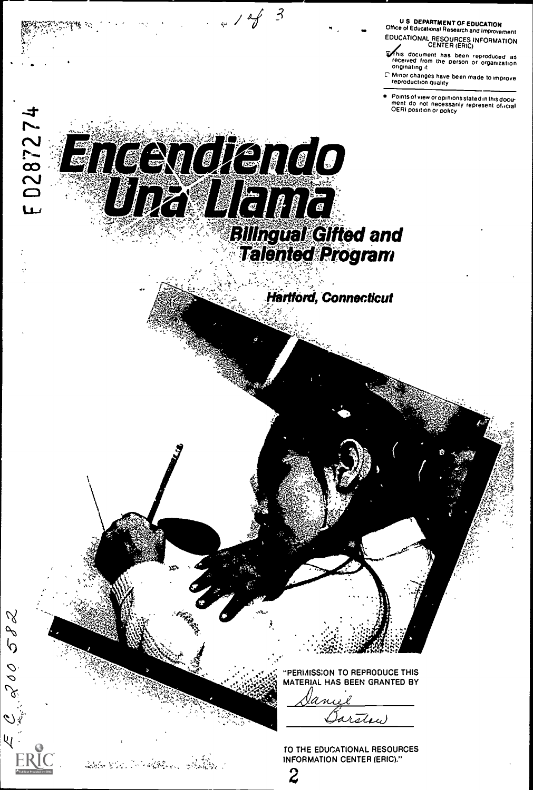U S DEPARTMENT OF EDUCATION Office of Educational Research and Improvement EDUCATIONAL RESOURCES INFORMATION CENTER (ERIC)

nnis document has been reproduced as received from the person or organization<br>received from the person or organization

C" Minor changes have been made to improve reproduction quality

Points of view or opinions stated in this docu-<br>ment ido inot inecessarily represent of icial<br>OERI position or policy

# 1287274 Encendardo **Billngual Gifted and<br>Talented Program** Hartford, Connecticut "PERMISSION TO REPRODUCE THIS MATERIAL HAS BEEN GRANTED BY <u>aniel</u> arthu

 $\mathcal{A}$ 

S d'

200

dalam Mari 2004 dan kalendar dan Kalendar

 $143$ 

TO THE EDUCATIONAL RESOURCES INFORMATION CENTER (ERIC)."

 $\overline{z}$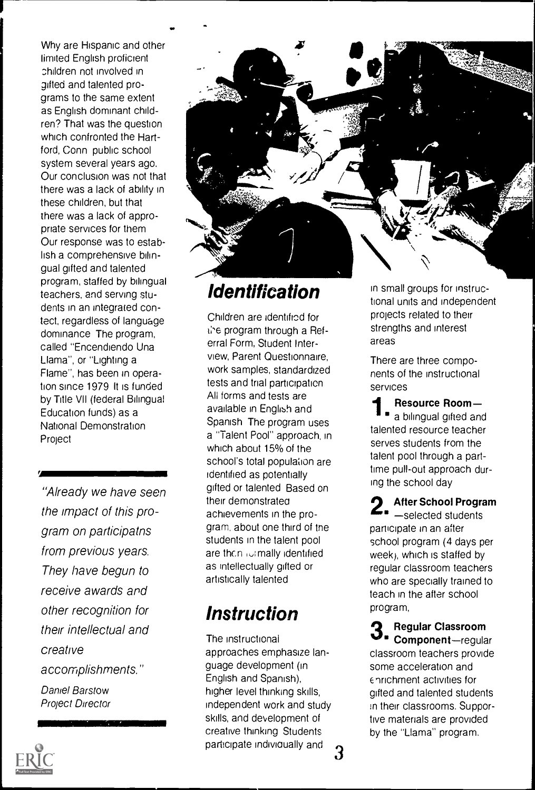Why are Hispanic and other limited English proficient children not involved in gifted and talented programs to the same extent as English dominant children? That was the question which confronted the Hartford, Conn public school system several years ago. Our conclusion was not that there was a lack of ability in these children, but that there was a lack of appropriate services for them Our response was to establish a comprehensive bilingual gifted and talented program, staffed by bilingual teachers, and serving students in an integrated contect, regardless of language dominance The program, called "Encendiendo Una Llama", or "Lighting a Flame", has been in operation since 1979 It is funded by Title VII (federal Bilingual Education funds) as a National Demonstration Project

"Already we have seen the impact of this program on participatns from previous years. They have begun to receive awards and other recognition for their intellectual and creative accomplishments." Daniel Barstow

1111111111111111111111111111111111111131111MMIN

Project Director



# Identification

Children are identified for the program through a Referral Form, Student Interview, Parent Questionnaire, work samples, standardized tests and trial participation All forms and tests are available in English and Spanish The program uses a "Talent Pool" approach, in which about 15% of the school's total population are identified as potentially gifted or talented Based on their demonstratea achievements in the program, about one third of tne students in the talent pool are then identified as intellectually gifted or artistically talented

# Instruction

The instructional approaches emphasize language development (in English and Spanish), higher level thinking skills, independent work and study skills, and development of creative thinking Students participate individually and 3 in small groups for instructional units and independent projects related to their strengths and interest areas

There are three components of the instructional services

 $\parallel$   $\bullet$  a bilingual gifted and Resource Room talented resource teacher serves students from the talent pool through a parttime pull-out approach during the school day

2 After School Program selected students participate in an after school program (4 days per week), which is staffed by regular classroom teachers who are specially trained to teach in the after school program,

 $\mathbf{3}_{\textcolor{red}{\bullet}}$  Regular Classroom<br> $\mathbf{3}_{\textcolor{red}{\bullet}}$  Component—regular Regular Classroom classroom teachers provide some acceleration and Enrichment activities for gifted and talented students in their classrooms. Supportive materials are provided by the "Llama" program.

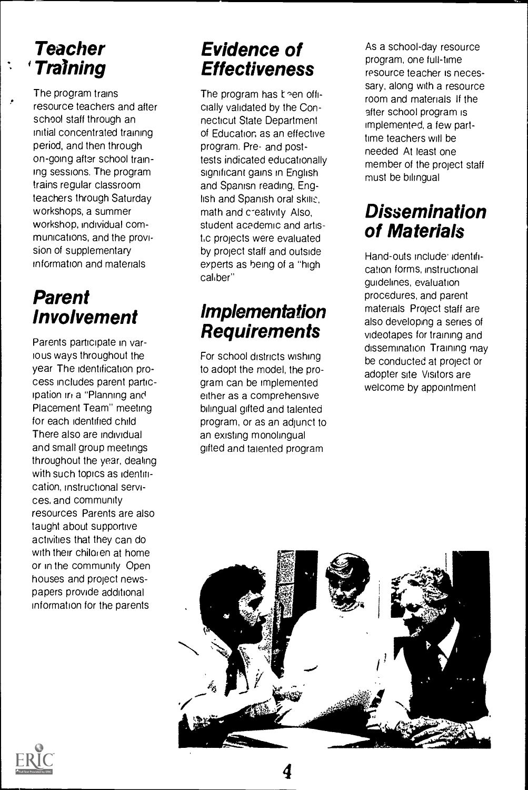# **Teacher** Training

 $\overline{1}$ 

The program trains resource teachers and after school staff through an initial concentrated training period, and then through on-going after school training sessions. The program trains regular classroom teachers through Saturday workshops, a summer workshop, individual communications, and the provision of supplementary information and materials

# Parent Involvement

Parents participate in various ways throughout the year The identification process includes parent participation in a "Planning and Placement Team" meeting for each identified child There also are individual and small group meetings throughout the year, dealing with such topics as identification, instructional services, and community resources Parents are also taught about supportive activities that they can do with their chiloren at home or in the community Open houses and project newspapers provide additional information for the parents

# Evidence of Effectiveness

The program has  $k$  en officially validated by the Connecticut State Department of Education as an effective program. Pre- and posttests indicated educationally significant gains in English and Spanisn reading, English and Spanish oral skills. math and c-eativity Also, student academic and artist<sub>i</sub>c projects were evaluated by project staff and outside experts as being of a "high caliber"

# Implementation **Requirements**

For school districts wishing to adopt the model, the program can be implemented either as a comprehensive bilingual gifted and talented program, or as an adjunct to an existing monolingual gifted and talented program

As a school-day resource program, one full-time resource teacher is necessary, along with a resource room and materials If the after school program is implemented, a few parttime teachers will be needed At least one member of the project staff must be bilingual

# **Dissemination** of Materials

Hand-outs include: identification forms, instructional guidelines, evaluation procedures, and parent materials Project staff are also developing a series of videotapes for training and dissemination Training may be conducted at project or adopter site Visitors are welcome by appointment



4

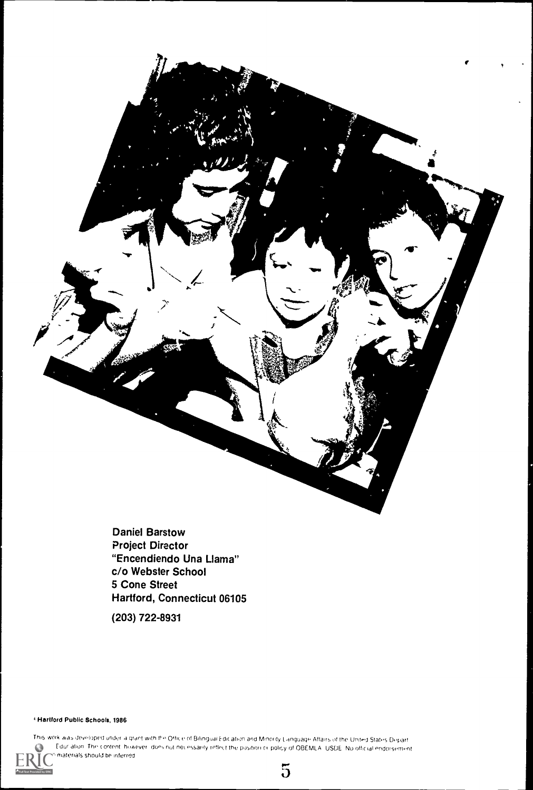Daniel Barstow Project Director "Encendiendo Una Llama" c/o Webster School 5 Cone Street Hartford, Connecticut 06105

(203) 722-8931

Hartford Public Schools, 1986



This work was developed under a grant with the Office of Bilingual Edication and Minority Language Affairs of the United States Depart Edur alion. The content however does not net essarily reflect the position or policy of OBEMLA, USDE, No official endorsement materials should be inferred



g and the state of the state of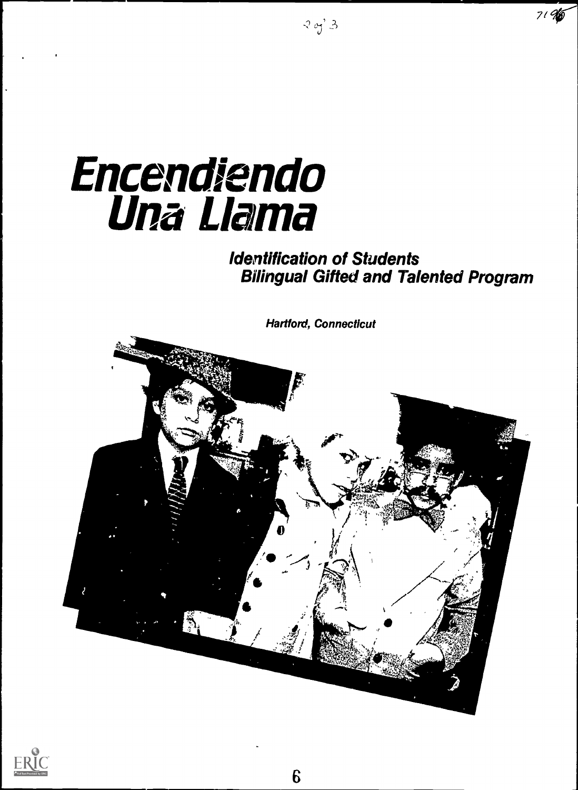# **Encendiendo** Una Llama

# Identification of Students Bilingual Gifted and Talented Program

7/

Hartford, Connecticut



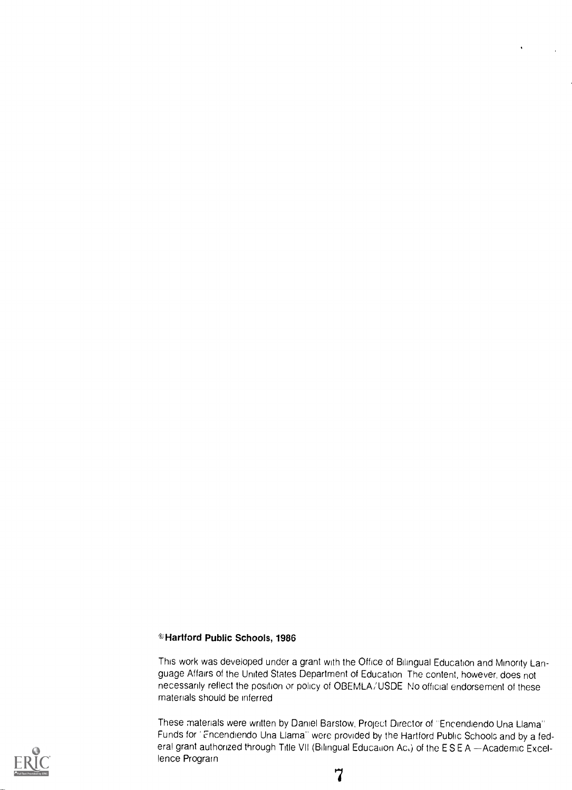#### ©Hartford Public Schools, 1986

This work was developed under a grant with the Office of Bilingual Education and Minority Language Affairs of the United States Department of Education The content, however, does not necessarily reflect the position or policy of OBEMLA/USDE No official endorsement of these materials should be inferred

These materials were written by Daniel Barstow, Project Director of "Encendiendo Una Llama" Funds for Encendiendo Una Llama" were provided by the Hartford Public Schools and by a federal grant authorized through Title VII (Bilingual Education Act) of the ESEA - Academic Excellence Program

1

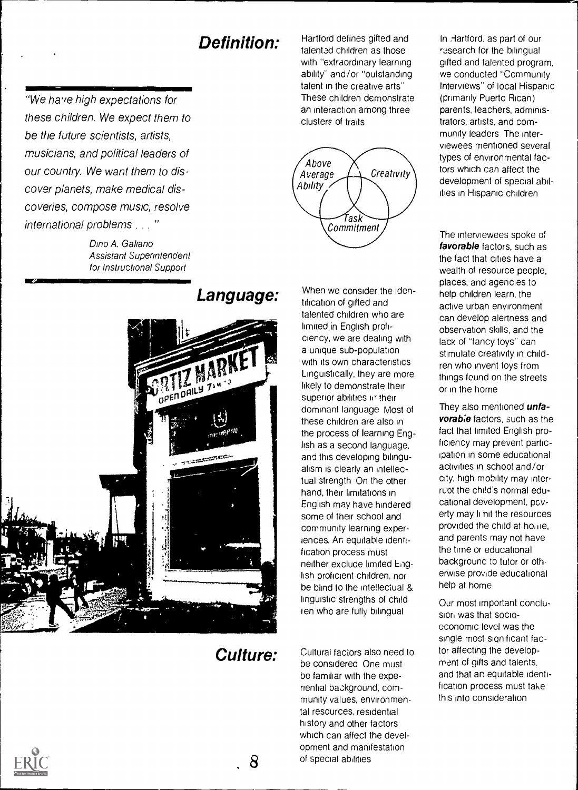# Definition:

"We have high expectations for these children. We expect them to be the future scientists, artists, musicians, and political leaders of our country. We want them to discover planets, make medical discoveries, compose music, resolve international problems . . . "

> Dino A. Galiano Assistant Superintendent for Instructional Support

Hartford defines gifted and talented children as those with "extraordinary learning ability" and/or "outstanding talent in the creative arts" These children demonstrate an interaction among three clusters of traits



# Language: ol

#### When we consider the identification of gifted and talented children who are limited in English proficiency, we are dealing with a unique sub-population with its own characteristics Linguistically, they are more likely to demonstrate their superior abilities in their dominant language Most of these children are also in the process of learning English as a second language, and this developing bilingualism is clearly an intellectual strength On the other hand, their limitations in English may have hindered some of their school and community learning experiences. An equitable identification process must neither exclude limited English proficient children, nor be blind to the intellectual & linguistic strengths of child ten who are fully bilingual

# Culture:

8 of special abilities Cultural faciors also need to be considered One must be familiar with the experiential background, community values, environmental resources, residential history and other factors which can affect the development and manifestation

In Hartford, as part of our research for the bilingual gifted and talented program, we conducted "Community Interviews" of local Hispanic (primarily Puerto Rican) parents, teachers, administrators, artists, and community leaders The interviewees mentioned several types of environmental factors which can affect the development of special abilities in Hispanic children

The interviewees spoke of favorable factors, such as the fact that cities have a wealth of resource people, places, and agencies to help children learn, the active urban environment can develop alertness and observation skills, and the lack of "fancy toys" can stimulate creativity in children who invent toys from things found on the streets or in the home

They also mentioned *unfa*vorabie factors, such as the fact that limited English proficiency may prevent participation in some educational activities in school and/or city, high mobility may interruot the child's normal educational development, poverty may li nit the resources provided the child at home, and parents may not have the time or educational backgrounc to tutor or otherwise provide educational help at home

Our most important conclusion was that socioeconomic level was the single most significant factor affecting the development of gifts and talents, and that an equitable identification process must take this into consideration

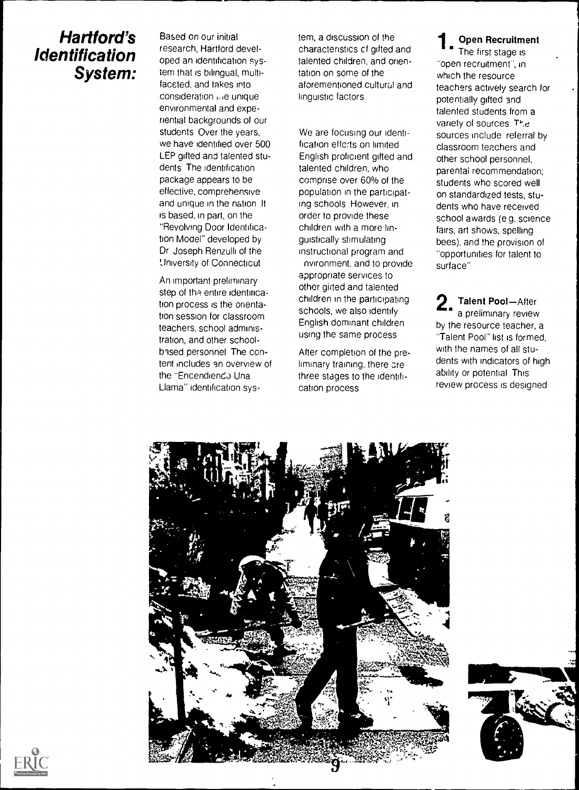# Hartford's Identification System:

Based on our initial research, Hartford developed an identification system that is bilingual, multifaceted, and takes into consideration ule unique environmental and experiential backgrounds of our students Over the years, we have identified over 500 LEP gifted and talented students The identification package appears to be effective, comprehensive and unique in the nation It is based, in part, on the "Revolving Door Identification Model" developed by Dr Joseph Renzulli of the University of Connecticut

An important preliminary step of the entire identification process is the orientation session for classroom teachers, school administration, and other schoolbased personnel The content includes an overview of the "Encendiendo Una Llama" identification system, a discussion of the characteristics cf gifted and talented children, and orientation on some of the aforementioned cultural and linguistic factors

We are focusing our identification effcrts on limited English proficient gifted and talented children, who comprise over 60% of the population in the participating schools However, in order to provide these children with a more linguistically stimulating instructional program and nvironment, and to provide appropriate services to other girted and talented children in the participating schools, we also identify English dominant children using the same process

After completion of the preliminary training, there are three stages to the identification process

Open Recruitment The first stage is "open recruitment", in which the resource teachers actively search for potentially gifted and talented students from a variety of sources The sources include referral by classroom teachers and other school personnel, parental recommendation: students who scored well on standardized tests, students who have received school awards (e g. science fairs, art shows, spelling bees), and the provision of "opportunities for talent to surface"

2. Talent Pool-After<br>a preliminary review Talent Pool-After by the resource teacher, a "Talent Pool" list is formed, with the names of all students with indicators of high ability or potential This review process is designed





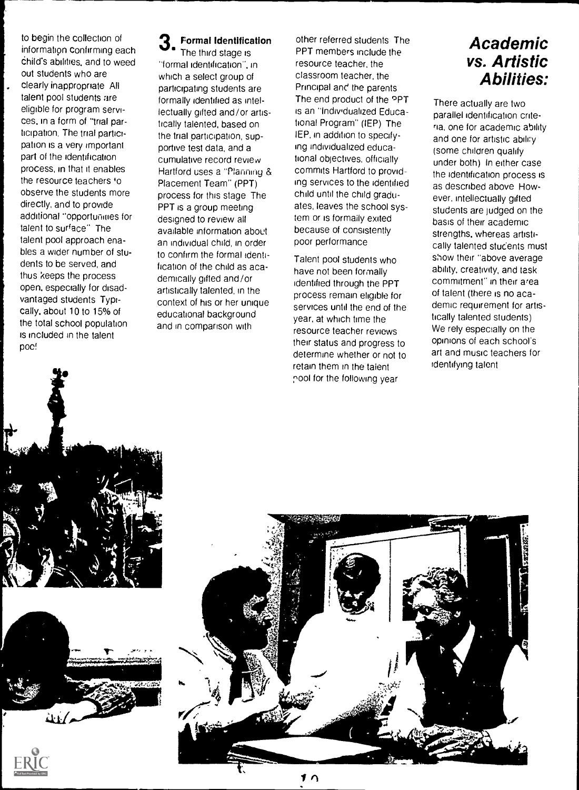to begin the collection of information confirming each Child's abilities, and to weed out students who are clearly inappropriate All talent pool students are eligible for program services, in a form of "trial participation, The trial participation is a very important part of the identification process, in that it enables the resource teachers 'o observe the students more directly, and to provide additional "opportunities for talent to surface" The talent pool approach enables a wider number of students to be served, and thus keeps the process open, especially for disadvantaged students Typically, about 10 to 15% of the total school population is included in the talent poc!

# **3.** Formal Identification other in the fluct stage is **EXECUTE:**

The third stage is "formal identification", in which a select group of participating students are formally identified as intellectually gifted and/or artistically talented, based on the trial participation, supportive test data, and a cumulative record review Hartford uses a "Planning & Placement Team" (PPT) process for this stage The PPT is a group meeting designed to review all available information about an individual child, in order to confirm the formal identification of the child as academically gifted and/or artistically talented, in the context of his or her unique educational background and in comparison with

other referred students The PPT members include the resource teacher, the classroom teacher, the Principal and the parents The end product of the **PPT** is an "Individualized Educational Program" (IEP) The IEP, in addition to specifying individualized educational objectives, officially commits Hartford to providing services to the identified child until the child graduates, leaves the school system or is formally exited because of consistently poor performance

Talent pool students who have not been formally identified through the PPT process remain eligible for services until the end of the year, at which time the resource teacher reviews their status and progress to determine whether or not to retain them in the talent pool for the following year

# Academic vs. Artistic Abilities:

There actually are two parallel identification criteria, one for academic ability and one for artistic abilry (some children qualify under both) In either case the identification process is as described above However, intellectually gifted students are judged on the basis of their academic strengths, whereas artistically talented stucents must show their "above average ability, creativity, and task commitment" in their area of talent (there is no academic requirement for artistically talented students) We rely especially on the opinions of each school's art and music teachers for identifying talent







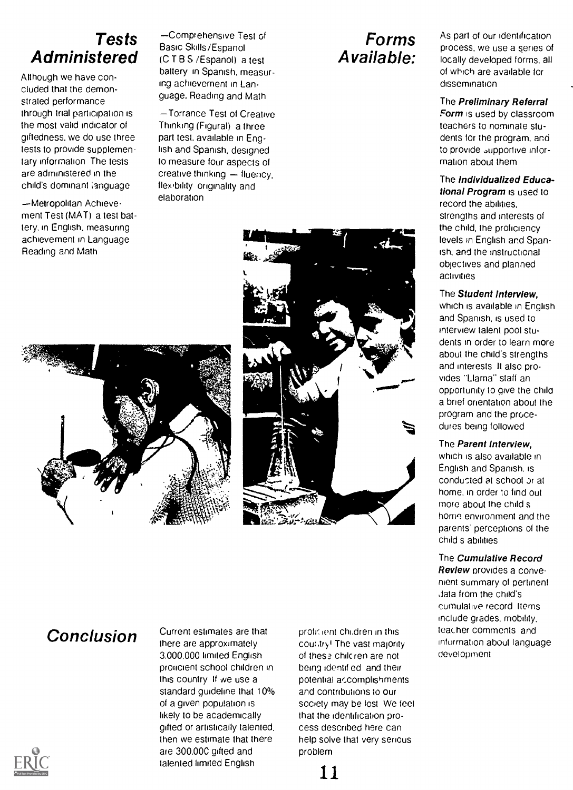# Tests **Administered**

Although we have concluded that the demonstrated performance through trial participation is the most valid indicator of giftedness, we do use three tests to provide supplementary information The tests are administered in the child's dominant language

-Metropolitan Achievement Test (MAT) a test battery, in English, measuring achievement in Language Reading and Math

Comprehensive Test of Basic Skills/Espanol (C T B S /Espanol) a test battery in Spanish, measuring achievement in Lan. guage. Reading and Math

Torrance Test of Creative Thinking (Figural) a three part test, available in English and Spanish, designed to measure four aspects of creative thinking - fluency, flex bility originality and elaboration

# Forms Available:

As part of our identification process, we use a series of locally developed forms, all of which are available for dissemination

#### The Preliminary Referral

Form is used by classroom. leachers to nominate students for the program. and to provide supportive information about them

#### The Individualized Educa-

tional Program is used to record the abilities, strengths and interests of the child, the proficiency levels in English and Spanish, and the instructional objectives and planned activities

#### The Student Interview,

which is available in English and Spanish, is used to interview talent pool students in order to learn more about the child's strengths and interests It also provides "Llama" staff an opportunity to give the chile a brief orientation about the program and the procedures being followed

#### The Parent Interview,

which is also available in English and Spanish, is conducted at school or at home, in order to find out more about the child s home environment and the parents' perceptions of the child s abilities

#### The Cumulative Record

Review provides a convenient summary of pertinent data from the child's cumulative record Items include grades. mobility, teacher comments and information about language development

Conclusion Current estimates are that there are approximately 3,000,000 limited English proficient school children in this country If we use a standard guideline that 10% of a given population is likely to be academically gifted or artistically talented. then we estimate that there are 300,00C gifted and talented limited English

prolit lent chi.dren in this cour.tryi The vast majority of these chilcren are not being identif ed and their potential accomplishments. and contributions to our society may be lost We feel that the identification process described here can help solve that very serious problem





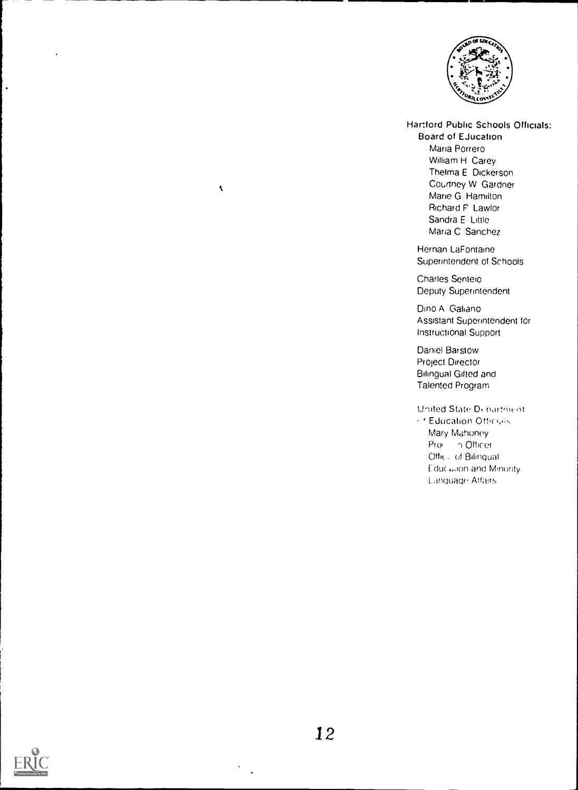

,IIM11.)

Hartford Public Schools Officials:

Board of Ejucation Maria Porrero William H Carey Thelma E Dickerson Courtney W Gardner Marie G Hamilton Richard F Lawlor Sandra E Little Maria C Sanchez

Hernan LaFontaine Superintendent of Schools

Charles Senteio Deputy Superintendent

Dino A Galiano Assistant Superintendent for Instructional Support

Daniel Barstow Project Director Bilingual Gifted and Talented Program

United State Di-bartment  $\ell$ <sup>+</sup> Education Officials Mary Mahoney Pro n Officer Offic<sub>o</sub> of Bilingual Educ allon and Minority. Linotiage Malts



 $\ddot{\phantom{a}}$ 

 $\bar{\mathbf{A}}$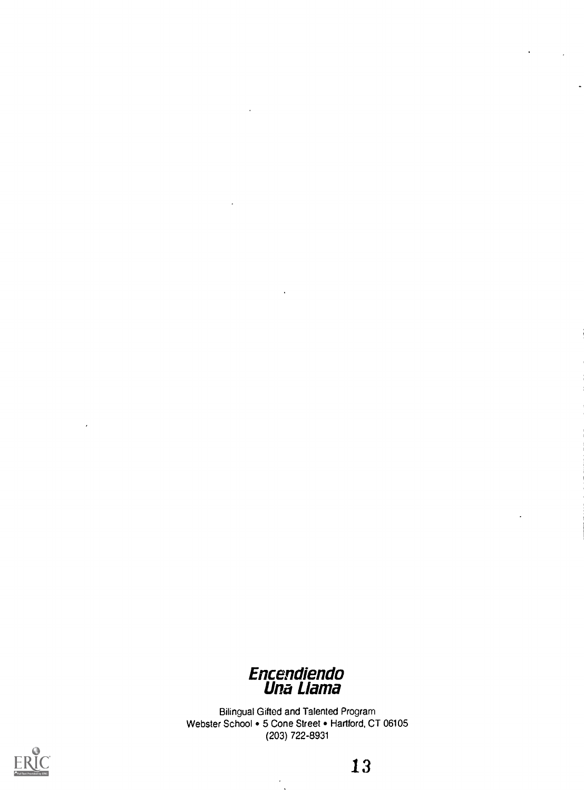

Bilingual Gifted and Talented Program Webster School • 5 Cone Street • Hartford, CT 06105 (203) 722-8931

 $\bullet$ 



13

 $\hat{\mathcal{A}}$ 

 $\ddot{\phantom{0}}$ 

 $\overline{a}$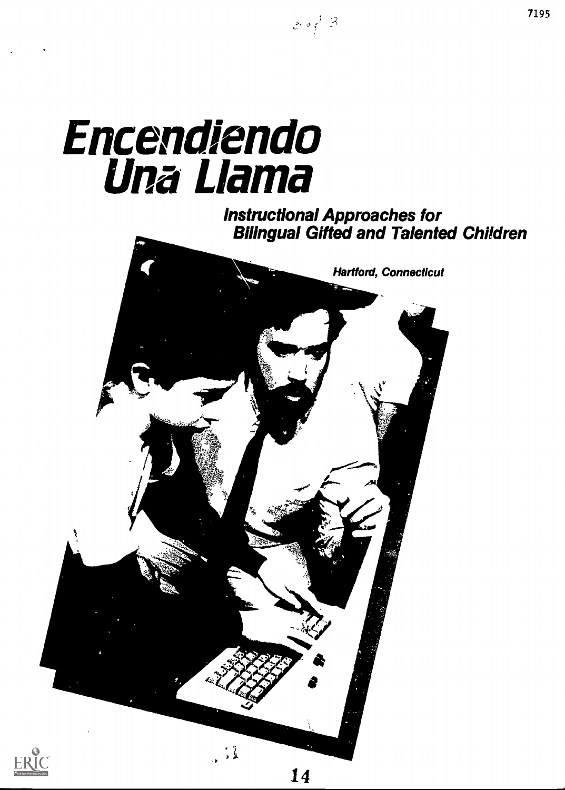# Encendiendo Una Llama

# Instructional Approaches for Bilingual Gifted and Talented Children

 $20/3$ 





14

7195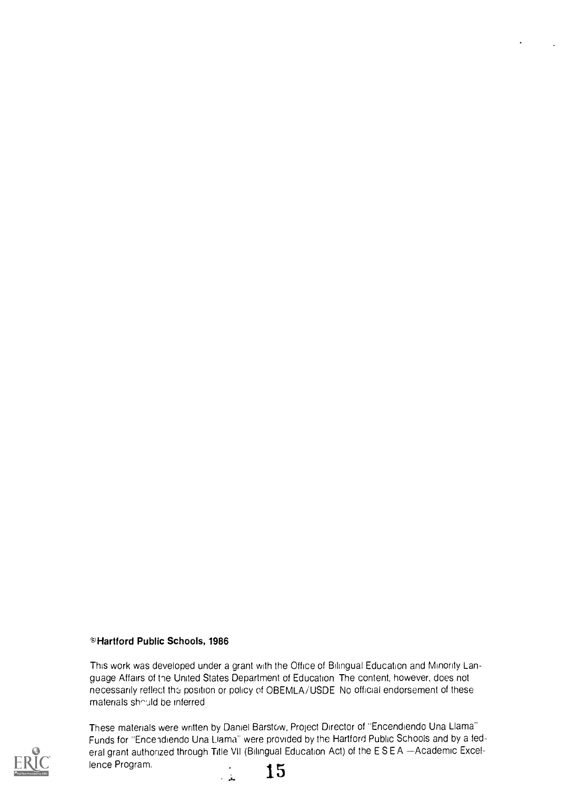#### ©Hartford Public Schools, 1986

This work was developed under a grant with the Office of Bilingual Education and Minority Language Affairs of the United States Department of Education The content, however, does not necessarily reflect the position or policy of OBEMLA/USDE No official endorsement of these materials should be inferred.



These materials were written by Daniel Barstow, Project Director of "Encendiendo Una Llama" Funds for "Encendiendo Una Llama" were provided by the Hartford Public Schools and by a federal grant authorized through Title VII (Bilingual Education Act) of the ESEA -- Academic Excellence Program.<br>  $\frac{15}{15}$ 

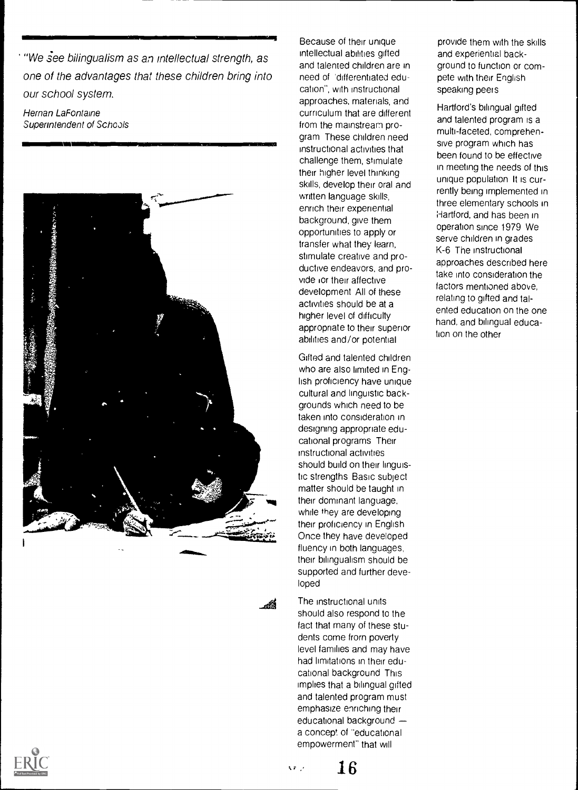"We see bilingualism as an intellectual strength, as one of the advantages that these children bring into our school system.

1911 - 1912 - 1913 - 1914 - 1915 - 1916 - 1917 - 1918 - 1919 - 1919 - 1919 - 1910<br>1911 - 1911 - 1911 - 1911 - 1911 - 1911 - 1911 - 1911 - 1911 - 1911 - 1911 - 1911 - 1911 - 1911 - 1911 - 1911

Hernan LaFontaine Superintendent of Schools



Because of their unique intellectual abilities gifted and talented children are in need of 'differentiated education", with instructional approaches, materials, and curriculum that are different from the mainstream program These children need instructional activities that challenge them, stimulate their higher level thinking skills, develop their oral and written language skills, enrich their experiential background, give them opportunities to apply or transfer what they learn, stimulate creative and productive endeavors, and provide <sub>i</sub>or their affective development All of these activities should be at a higher level of difficulty appropriate to their superior abilities and/or potential

Gifted and talented children who are also limited in English proficiency have unique cultural and linguistic backgrounds which need to be taken into consideration in designing appropriate educational programs Their instructional activities should build on their linguistic strengths Basic subject matter should be taught in their dominant language, while they are developing their proficiency in English Once they have developed fluency in both languages, their bilingualism should be supported and further developed

The instructional units should also respond to the fact that many of these students come from poverty level families and may have had limitations in their educational background This implies that a bilingual gifted and talented program must emphasize enriching their educational background a concept of "educational empowerment" that will

provide them with the skills and experiential background to function or compete with their English speaking peers

Hartford's bilingual gifted and talented program is a multi-faceted, comprehensive program which has been found to be effective in meeting the needs of this unique population It is currently being implemented in three elementary schools in Hartford, and has been in operation since 1979 We serve children in grades K-6 The instructional approaches described here take into consideration the factors mentioned above, relating to gifted and talented education on the one hand, and bilingual education on the other

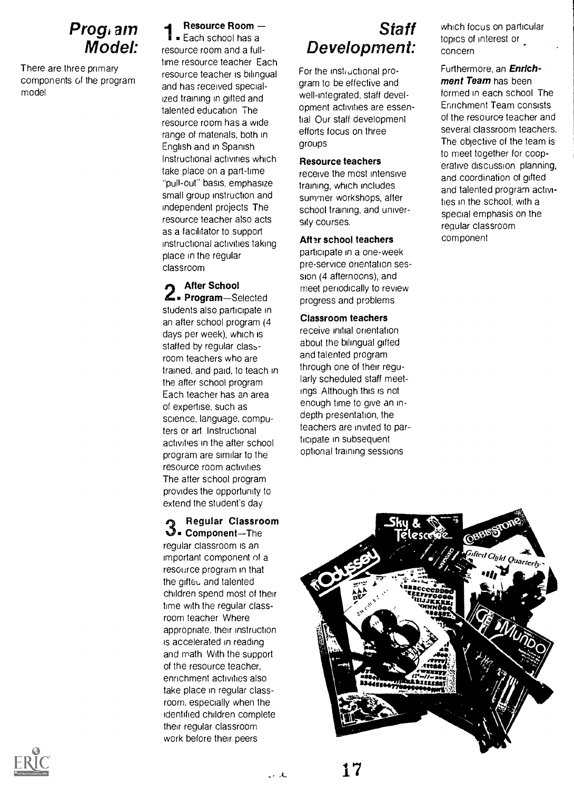## Prog. am Model:

There are three primary components of the program model

#### Resource Room

**Each school has a** resource room and a fulltime resource teacher Each resource teacher is bilingual and has received specialized training in gifted and talented education The resource room has a wide range of materials, both in English and in Spanish Instructional activities which take place on a part-time "pull-out" basis, emphasize small group instruction and independent projects The resource teacher also acts as a facilitator to support instructional activities taking place in the regular classroom

**After School** Solected Frogram-Selected students also participate in an after school program (4 days per week), which is staffed by regular classroom teachers who are trained, and paid, to teach in the after school program Each teacher has an area of expertise, such as science, language, computers or art Instructional activities in the after school program are similar to the resource room activities The atter school program provides the opportunity to extend the student's day

Regular Classroom  $\mathbf{\mathcal{Q}}$  Component-The regular classroom is an important component of a resource program in that the gifteu and talented children spend most of their time with the regular classroom teacher Where appropriate, their instruction is accelerated in reading and math With the support of the resource teacher, enrichment activities also take place in regular classroom, especially when the identified children complete their regular classroom work before their peers

# Staff Development:

For the instructional program to be effective and well-integrated, staff development activities are essential Our staff development efforts focus on three groups

#### Resource teachers

receive the most intensive training, which includes summer workshops, after school training, and university courses.

#### After school teachers

participate in a one-week pre-service orientation session (4 afternoons), and meet periodically to review progress and problems

#### Classroom teachers

receive initial orientation about the bilingual gifted and talented program through one of their regularly scheduled staff meetings Although this is not enough time to give an indepth presentation, the teachers are invited to participate in subsequent optional training sessions

which focus on particular topics of interest or concern

#### Furthermore, an Enrichment Team has been formed in each school The Enrichment Team consists of the resource teacher and several classroom teachers.

The objective of the team is to meet together for cooperative discussion planning, and coordination of gifted and talented program activities in the school, with a special emphasis on the regular classroom component





للأرادر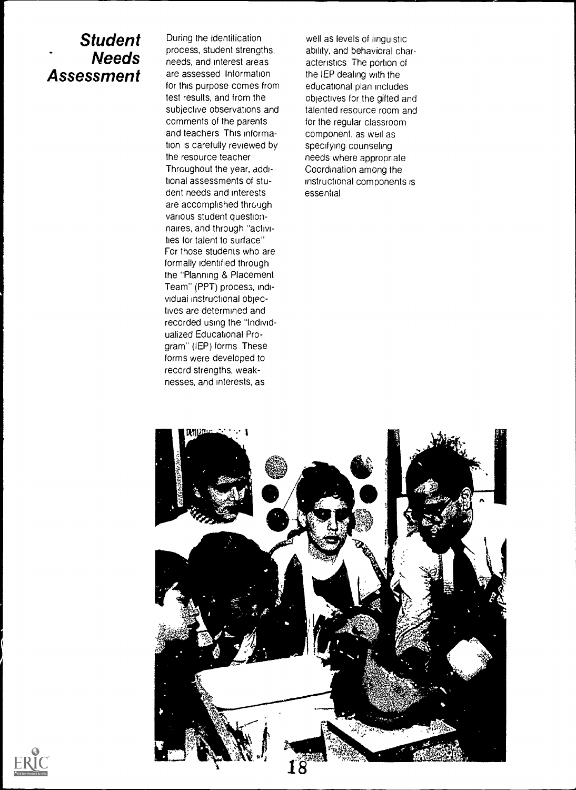## Student Needs Assessment

During the identification process, student strengths, needs, and interest areas are assessed Information for this purpose comes from test results, and from the subjective observations and comments of the parents and teachers This information is carefully reviewed by the resource teacher Throughout the year, additional assessments of student needs and interests are accomplished through various student questionnaires, and through "activities for talent to surface" For those students who are formally identified through the "Planning & Placement Team" (PPT) process, individuai instructional objectives are determined and recorded using the "Individualized Educational Program" (IEP) forms These forms were developed to record strengths, weaknesses, and interests, as

well as levels of linguistic ability, and behavioral characteristics The portion of the IEP dealing with the educational plan includes objectives for the gifted and talented resource room and for the regular classroom component, as well as specifying counseling needs where appropriate Coordination among the instructional components is essential



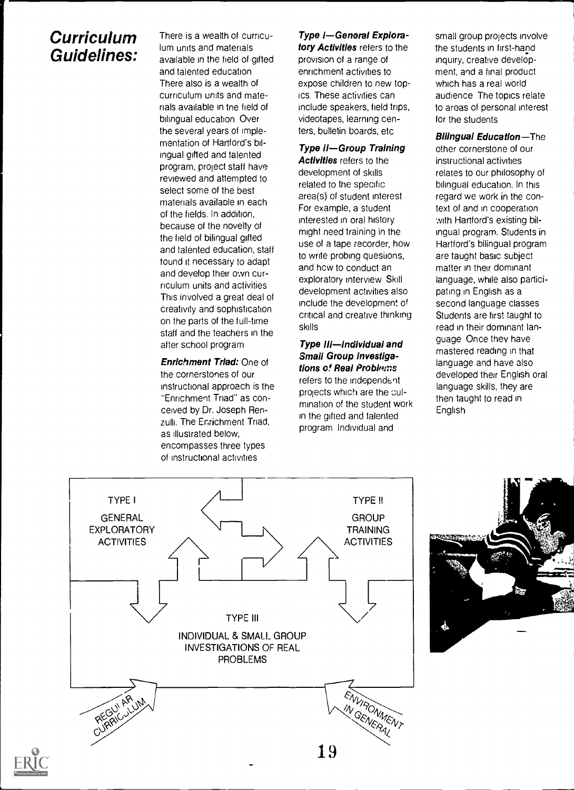# **Curriculum** Guidelines:

There is a wealth of curriculum units and materials available in the field of gifted and talented education There also is a wealth of curriculum units and materials available in tne field of bilingual education Over the several years of implementation of Hartford's bilingual gifted and talented program, project staff have reviewed and attempted to select some of the best materials availaole in each of the fields. In addition, because of the novelty of the field of bilingual gifted and talented education, staff tound it necessary to adapt and develop their own curriculum units and activities This involved a great deal of creativity and sophistication on the parts of the full-time staff and the teachers in the after school program

Enrichment Triad: One of the cornerstones of our instructional approach is the "Enrichment Triad" as conceived by Dr. Joseph Renzulli. The Enrichment Triad, as illustrated below, encompasses three types of instructional activities

## Type I-General Explora-

tory Activities refers to the provision of a range of enrichment activities to expose children to new topics. These activities can include speakers, field trips, videotapes, learning centers, bulletin boards, etc

#### Type II-Group Training

Activities refers to the development of skills related to the specific area(s) of student interest For example, a student interested in oral history might need training in the use of a tape recorder, how to write probing quesiions, and hcw to conduct an exploratory interview Skill development activities also include the development of critical and creative thinking skills

Type III-individual and Small Group Investigations of Real Problems refers to the independent projects which are the culmination of the student work in the gifted and talented program Individual and

small group projects involve the students in first-hand inquiry, creative development, and a final product which has a real world audience The topics relate to areas of personal interest for the students

**Bilingual Education-The** other cornerstone of our instructional activities relates to our philosophy of bilingual education. In this regard we work in the context of and in cooperation with Hartford's existing bilingual program. Students in Hartford's bilingual program are taught basic subject matter in their dominant language, while also participating in English as a second language classes Students are first taught to read in their dominant language Once they have mastered reading in that language and have also developed their English oral language skills, they are then taught to read in English





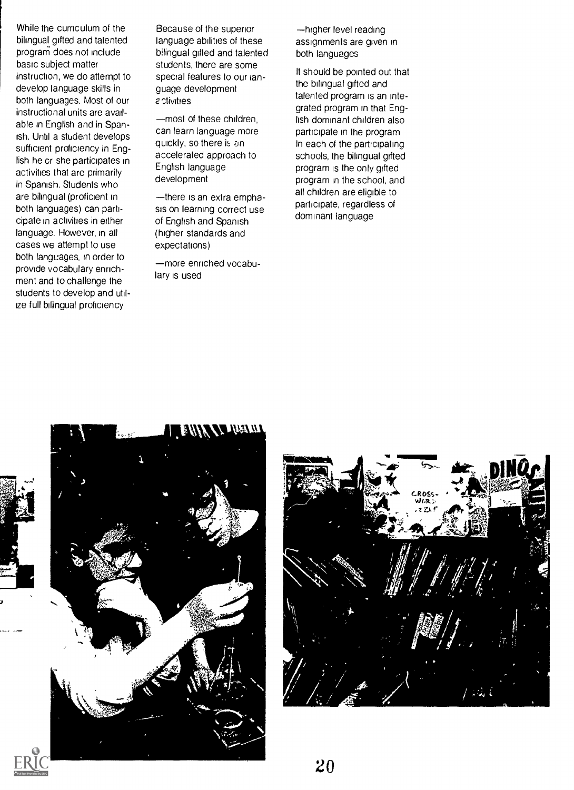While the curriculum of the bilingual gifted and talented program does not include basic subject matter instruction, we do attempt to develop language skills in both languages. Most of our instructional units are available in English and in Spanish. Until a student develops sufficient proficiency in English he or she participates in activities that are primarily in Spanish. Students who are bilingual (proficient in both languages) can participate in activities in either language. However, in all cases we attempt to use both languages, in order to provide vocabulary enrichment and to challenge the students to develop and utilize full bilingual proficiency

Because of the superior language abilities of these bilingual gifted and talented students, there are some special features to our language development *<u>c*ctivities</u>

most of these children, can learn language more quickly, so there is an accelerated approach to English language development

-there is an extra emphasis on learning correct use of English and Spanish (higher standards and expectations)

more enriched vocabulary is used

-higher level reading assignments are given in both languages

It should be pointed out that the bilingual gifted and talented program is an integrated program in that English dominant children also participate in the program In each of the participating schools, the bilingual gifted program is the only gifted program in the school, and all children are eligible to participate, regardless of dominant language



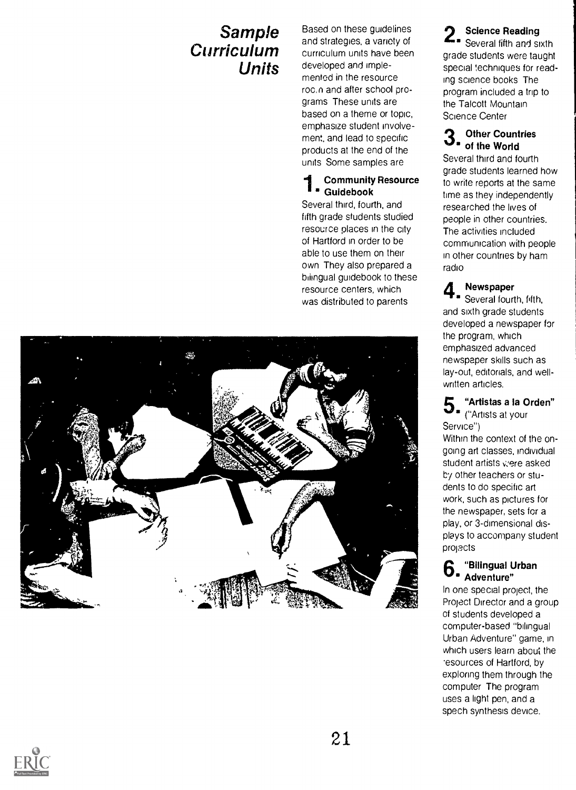# Sample Curriculum Units

Based on these guidelines and strategies, a variety of curriculum units have been developed and implemented in the resource roc. n and after school programs These units are based on a theme or topic, emphasize student involvement, and lead to specific products at the end of the units Some samples are

#### **1** Guidebook Community Resource

Several third, fourth, and fifth grade students studied resource places in the city of Hartford in order to be able to use them on their own They also prepared a biiingual guidebook to these resource centers, which was distributed to parents



#### Science Reading Several fifth and sixth grade students were taught special techniques for reading science books The program included a trip to the Talcott Mountain

#### 3. Other Countries<br>3. of the World **Other Countries**

Science Center

Several third and fourth grade students learned how to write reports at the same time as they independently researched the lives of people in other countries. The activities included communication with people in other countries by ham radio

## Newspaper

**4** Newspaper<br>Several fourth, fifth, and sixth grade students developed a newspaper for the program, which emphasized advanced newspaper skills such as lay-out, editorials, and wellwritten articles.

#### $\bf 5$  . "Artistas a la Orden"<br>white at your "Artistas a la Orden"

Service")

Within the context of the ongoing art classes, individual student artists vere asked by other teachers or students to do specific art work, such as pictures for the newspaper, sets for a play, or 3-dimensional displays to accompany student projects

## 6"Bilingual Urban  $6.$   $\frac{D_{\text{Burgers}}}{\text{Adventure}}$

In one special project, the Project Director and a group of students developed a computer-based "bilingual Urban Adventure" game, in which users learn about the esources of Hartford, by exploring them through the computer The program uses a light pen, and a spech synthesis device.

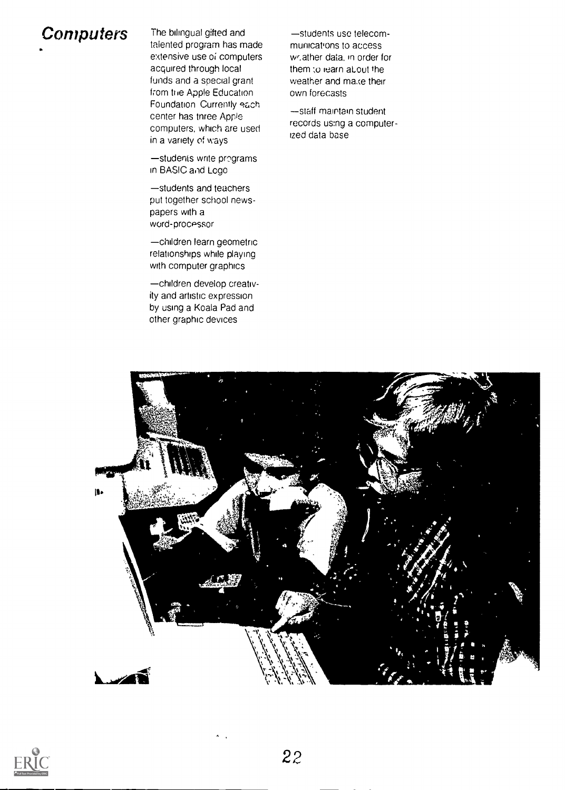# Computers The bilingual gifted and

talented program has made extensive use of computers acquired through local funds and a special grant from hie Apple Education Foundation Currently each center has tnree Apple computers, which are used in a variety of ways

-students write programs in BASIC and Logo

students and teachers put together school newspapers with a word-processor

children learn geometric relationships while playing with computer graphics

children develop creativity and artistic expression by using a Koala Pad and other graphic devices

-students use telecommunications to access wr.ather data, in order for them ;o learn aLout the weather and make their own forecasts

-staff maintain student records using a computerized data base



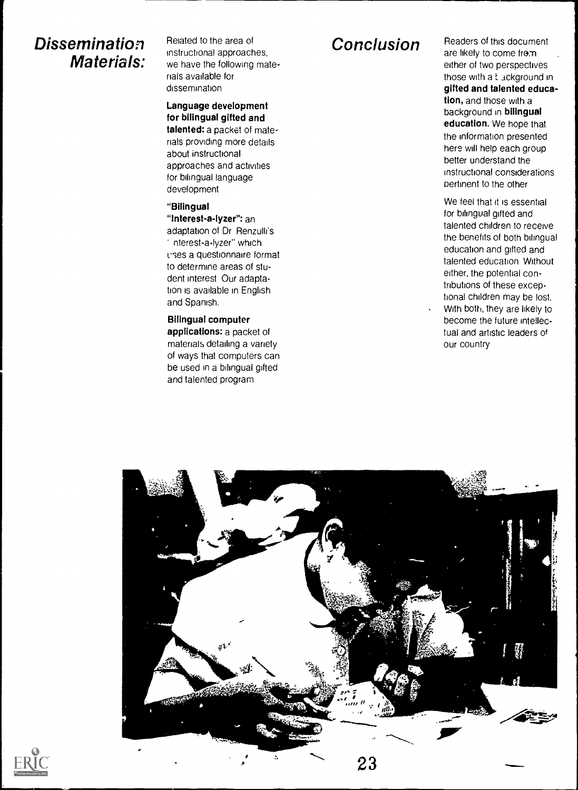# **Dissemination** Related to the area of  $m$ structional approaches,<br> **Materials:** we have the following ma

we have the following materials available for dissemination

Language development for bilingual gifted and talented: a packet of materials providing more details about instructional approaches and activities for bilingual language development

#### "Bilingual

"Interest-a-lyzer": an adaptation of Dr Renzulli's nterest-a-lyzer" which uses a questionnaire format to determine areas of student interest Our adaptation is available in English and Spanish.

Bilingual computer applications: a packet of materials detailing a variety of ways that computers can be used in a bilingual gifted and talented program

Conclusion Readers of this document are likely to come from either of two perspectives those with a L 3ckground in gifted and talented education, and those with a background in bilingual education. We hope that the information presented here will help each group better understand the instructional considerations pertinent to the other

> We feel that it is essential for bilingual gifted and talented children to receive the benefits of both bilingual education and gifted and talented education Without either, the potential contributions of these exceptional children may be lost.

With both, they are likely to become the future intellectual and artistic leaders of our country



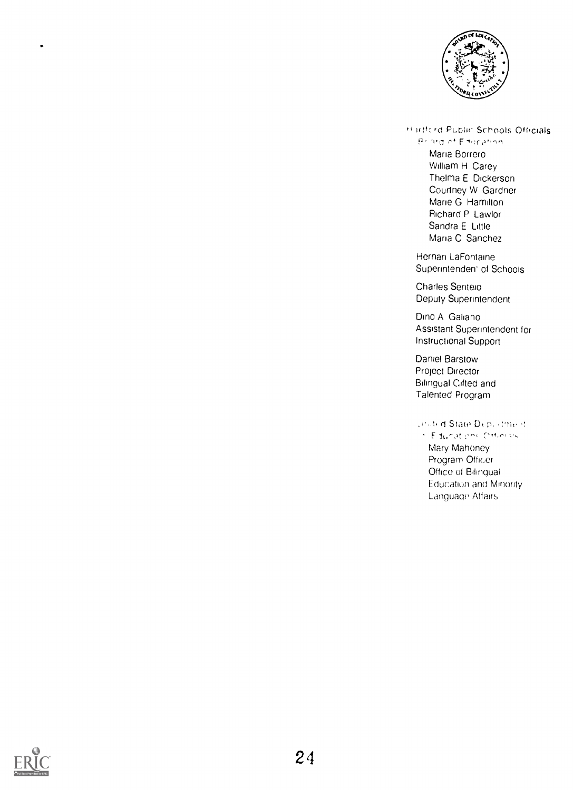

Hartford Public Schools Officials

**Braid of Education** Maria Borrero William H Carey Thelma E Dickerson Courtney W Gardner Marie G Hamilton Richard P Lawlor Sandra E Little Maria C Sanchez

Hernan LaFontaine Superintenden<sup>of</sup> Schools

Charles Senteio Deputy Superintendent

Dino A Galiano Assistant Superintendent for Instructional Support

Daniel Barstow Project Director Bilingual Citted and Talented Program

andrid State Deportment

**CEducations** CHimas Mary Mahoney Program Officer Office of Bilingual Education and Minority Language Affairs